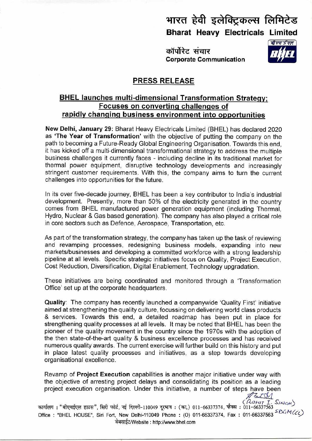## भारत हेवी इलेक्ट्रिकल्स लिमिटे**ड**

**Bharat Heavy Electricals Limited** 

<u>कॉर्पोरेट संचार</u> **Corporate Communication** 



## **PRESS RELEASE**

## **BHEL launches multi-dimensional Transformation Strategy; Focuses on converting challenges of rapidly changing business environment into opportunities**

**New Delhi, January 29:** Bharat Heavy Electricals Limited (BHEL) has declared 2020 as **'The Year of Transformation'** with the objective of putting the company on the path to becoming a Future-Ready Global Engineering Organisation. Towards this end, it has kicked off a multi-dimensional transformational strategy to address the multiple business challenges it currently faces - including decline in its traditional market for thermal power equipment, disruptive technology developments and increasingly stringent customer requirements. With this, the company aims to turn the current challenges into opportunities for the future.

In its over five-decade journey, BHEL has been a key contributor to India's industrial development. Presently, more than 50% of the electricity generated in the country comes from BHEL manufactured power generation equipment (including Thermal, Hydro, Nuclear & Gas based generation). The company has also played a critical role in core sectors such as Defence, Aerospace, Transportation, etc.

As part of the transformation strategy, the company has taken up the task of reviewing and revamping processes, redesigning business models, expanding into new markets/businesses and developing a committed workforce with a strong leadership pipeline at all levels. Specific strategic initiatives focus on Quality, Project Execution, Cost Reduction, Diversification, Digital Enablement, Technology upgradation.

These initiatives are being coordinated and monitored through a 'Transformation Office' set up at the corporate headquarters.

**Quality:** The company has recently launched a companywide 'Quality First' initiative aimed at strengthening the quality culture, focussing on delivering world class products & services. Towards this end, a detailed roadmap has been put in place for strengthening quality processes at all levels. It may be noted that BHEL has been the pioneer of the quality movement in the country since the 1970s with the adoption of the then state-of-the-art quality & business excellence processes and has received numerous quality awards. The current exercise will further build on this history and put in place latest quality processes and initiatives, as a step towards developing organisational excellence.

Revamp of **Project Execution** capabilities is another major initiative under way with the objective of arresting project delays and consolidating its position as a leading project execution organisation. Under this initiative, a number of steps have been<br> $\mathscr{F}\mathscr{L}\mathscr{A}$ 

 $(\overline{A}_{\text{CHIT}}\,\overline{I}\cdot\overline{S}_{\text{INGH}})$ कार्यालय: "बीएचईएल हाउस", सिरी फोर्ट, नई दिल्ली-110049 दुरभाष: (का.) 011-66337374, फैक्स: 011-66337563 Office : "BHEL HOUSE", Siri Fort, New Delhi-110049 Phone : (0) 011-66337374, Fax : 011-66337563  $SOGM(Cc)$ t01:117./Website : http://www.bhel.com